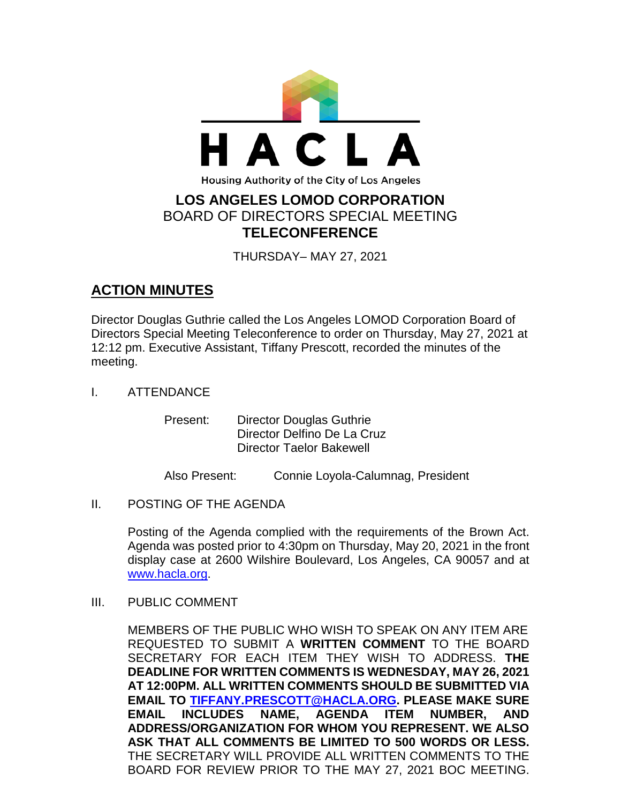

THURSDAY– MAY 27, 2021

## **ACTION MINUTES**

Director Douglas Guthrie called the Los Angeles LOMOD Corporation Board of Directors Special Meeting Teleconference to order on Thursday, May 27, 2021 at 12:12 pm. Executive Assistant, Tiffany Prescott, recorded the minutes of the meeting.

I. ATTENDANCE

| Present: | <b>Director Douglas Guthrie</b> |
|----------|---------------------------------|
|          | Director Delfino De La Cruz     |
|          | <b>Director Taelor Bakewell</b> |

Also Present: Connie Loyola-Calumnag, President

II. POSTING OF THE AGENDA

Posting of the Agenda complied with the requirements of the Brown Act. Agenda was posted prior to 4:30pm on Thursday, May 20, 2021 in the front display case at 2600 Wilshire Boulevard, Los Angeles, CA 90057 and at [www.hacla.org.](http://www.hacla.org/)

III. PUBLIC COMMENT

MEMBERS OF THE PUBLIC WHO WISH TO SPEAK ON ANY ITEM ARE REQUESTED TO SUBMIT A **WRITTEN COMMENT** TO THE BOARD SECRETARY FOR EACH ITEM THEY WISH TO ADDRESS. **THE DEADLINE FOR WRITTEN COMMENTS IS WEDNESDAY, MAY 26, 2021 AT 12:00PM. ALL WRITTEN COMMENTS SHOULD BE SUBMITTED VIA EMAIL TO [TIFFANY.PRESCOTT@HACLA.ORG.](mailto:TIFFANY.PRESCOTT@HACLA.ORG) PLEASE MAKE SURE EMAIL INCLUDES NAME, AGENDA ITEM NUMBER, AND ADDRESS/ORGANIZATION FOR WHOM YOU REPRESENT. WE ALSO ASK THAT ALL COMMENTS BE LIMITED TO 500 WORDS OR LESS.** THE SECRETARY WILL PROVIDE ALL WRITTEN COMMENTS TO THE BOARD FOR REVIEW PRIOR TO THE MAY 27, 2021 BOC MEETING.